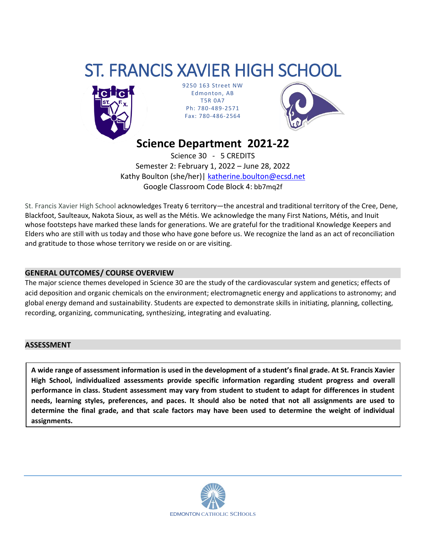# ST. FRANCIS XAVIER HIGH SCHOOL



9250 163 Street NW Edmonton, AB T5R 0A7 Ph: 780-489-2571 Fax: 780-486-2564



**Science Department 2021-22**

Science 30 - 5 CREDITS Semester 2: February 1, 2022 – June 28, 2022 Kathy Boulton (she/her)| [katherine.boulton@ecsd.net](mailto:katherine.boulton@ecsd.net) Google Classroom Code Block 4: bb7mq2f

St. Francis Xavier High School acknowledges Treaty 6 territory—the ancestral and traditional territory of the Cree, Dene, Blackfoot, Saulteaux, Nakota Sioux, as well as the Métis. We acknowledge the many First Nations, Métis, and Inuit whose footsteps have marked these lands for generations. We are grateful for the traditional Knowledge Keepers and Elders who are still with us today and those who have gone before us. We recognize the land as an act of reconciliation and gratitude to those whose territory we reside on or are visiting.

#### **GENERAL OUTCOMES/ COURSE OVERVIEW**

The major science themes developed in Science 30 are the study of the cardiovascular system and genetics; effects of acid deposition and organic chemicals on the environment; electromagnetic energy and applications to astronomy; and global energy demand and sustainability. Students are expected to demonstrate skills in initiating, planning, collecting, recording, organizing, communicating, synthesizing, integrating and evaluating.

#### **ASSESSMENT**

**A wide range of assessment information is used in the development of a student's final grade. At St. Francis Xavier High School, individualized assessments provide specific information regarding student progress and overall performance in class. Student assessment may vary from student to student to adapt for differences in student needs, learning styles, preferences, and paces. It should also be noted that not all assignments are used to determine the final grade, and that scale factors may have been used to determine the weight of individual assignments.**

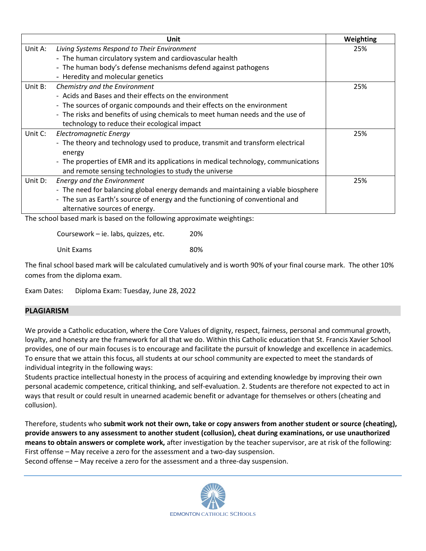|         | Unit                                                                               | Weighting |
|---------|------------------------------------------------------------------------------------|-----------|
| Unit A: | Living Systems Respond to Their Environment                                        | 25%       |
|         | - The human circulatory system and cardiovascular health                           |           |
|         | - The human body's defense mechanisms defend against pathogens                     |           |
|         | - Heredity and molecular genetics                                                  |           |
| Unit B: | Chemistry and the Environment                                                      | 25%       |
|         | - Acids and Bases and their effects on the environment                             |           |
|         | - The sources of organic compounds and their effects on the environment            |           |
|         | - The risks and benefits of using chemicals to meet human needs and the use of     |           |
|         | technology to reduce their ecological impact                                       |           |
| Unit C: | Electromagnetic Energy                                                             | 25%       |
|         | - The theory and technology used to produce, transmit and transform electrical     |           |
|         | energy                                                                             |           |
|         | - The properties of EMR and its applications in medical technology, communications |           |
|         | and remote sensing technologies to study the universe                              |           |
| Unit D: | <b>Energy and the Environment</b>                                                  | 25%       |
|         | - The need for balancing global energy demands and maintaining a viable biosphere  |           |
|         | - The sun as Earth's source of energy and the functioning of conventional and      |           |
|         | alternative sources of energy.                                                     |           |

The school based mark is based on the following approximate weightings:

Coursework – ie. labs, quizzes, etc. 20%

Unit Exams 80%

The final school based mark will be calculated cumulatively and is worth 90% of your final course mark. The other 10% comes from the diploma exam.

Exam Dates: Diploma Exam: Tuesday, June 28, 2022

### **PLAGIARISM**

We provide a Catholic education, where the Core Values of dignity, respect, fairness, personal and communal growth, loyalty, and honesty are the framework for all that we do. Within this Catholic education that St. Francis Xavier School provides, one of our main focuses is to encourage and facilitate the pursuit of knowledge and excellence in academics. To ensure that we attain this focus, all students at our school community are expected to meet the standards of individual integrity in the following ways:

Students practice intellectual honesty in the process of acquiring and extending knowledge by improving their own personal academic competence, critical thinking, and self-evaluation. 2. Students are therefore not expected to act in ways that result or could result in unearned academic benefit or advantage for themselves or others (cheating and collusion).

Therefore, students who **submit work not their own, take or copy answers from another student or source (cheating), provide answers to any assessment to another student (collusion), cheat during examinations, or use unauthorized means to obtain answers or complete work,** after investigation by the teacher supervisor, are at risk of the following: First offense – May receive a zero for the assessment and a two-day suspension.

Second offense – May receive a zero for the assessment and a three-day suspension.